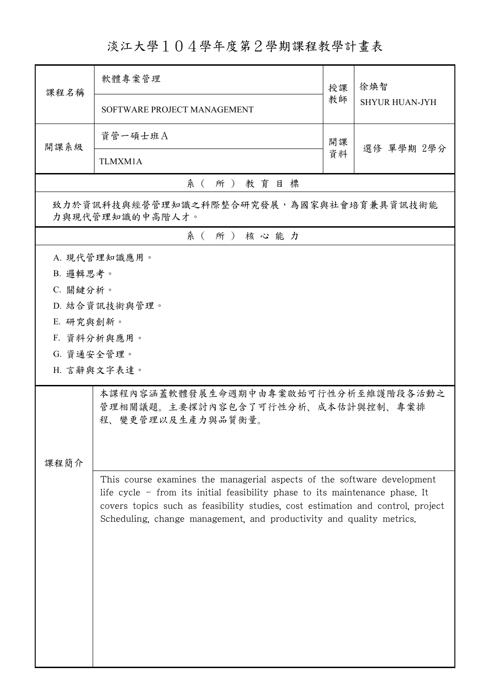## 淡江大學104學年度第2學期課程教學計畫表

| 課程名稱                                                       | 軟體專案管理                                                                                                                                                                                                                                                                                                               | 授課               | 徐煥智                   |  |
|------------------------------------------------------------|----------------------------------------------------------------------------------------------------------------------------------------------------------------------------------------------------------------------------------------------------------------------------------------------------------------------|------------------|-----------------------|--|
|                                                            | SOFTWARE PROJECT MANAGEMENT                                                                                                                                                                                                                                                                                          |                  | <b>SHYUR HUAN-JYH</b> |  |
| 開課系級                                                       | 資管一碩士班A                                                                                                                                                                                                                                                                                                              | 開課<br>選修 單學期 2學分 |                       |  |
|                                                            | TLMXM1A                                                                                                                                                                                                                                                                                                              | 資料               |                       |  |
|                                                            | 系(所)教育目標                                                                                                                                                                                                                                                                                                             |                  |                       |  |
| 致力於資訊科技與經營管理知識之科際整合研究發展,為國家與社會培育兼具資訊技術能<br>力與現代管理知識的中高階人才。 |                                                                                                                                                                                                                                                                                                                      |                  |                       |  |
|                                                            | 系(所)核心能力                                                                                                                                                                                                                                                                                                             |                  |                       |  |
|                                                            | A. 現代管理知識應用。                                                                                                                                                                                                                                                                                                         |                  |                       |  |
| B. 邏輯思考。                                                   |                                                                                                                                                                                                                                                                                                                      |                  |                       |  |
| C. 關鍵分析。                                                   |                                                                                                                                                                                                                                                                                                                      |                  |                       |  |
|                                                            | D. 結合資訊技術與管理。                                                                                                                                                                                                                                                                                                        |                  |                       |  |
| E. 研究與創新。                                                  |                                                                                                                                                                                                                                                                                                                      |                  |                       |  |
|                                                            | F. 資料分析與應用。                                                                                                                                                                                                                                                                                                          |                  |                       |  |
| G. 資通安全管理。                                                 |                                                                                                                                                                                                                                                                                                                      |                  |                       |  |
|                                                            | H. 言辭與文字表達。                                                                                                                                                                                                                                                                                                          |                  |                       |  |
|                                                            | 本課程內容涵蓋軟體發展生命週期中由專案啟始可行性分析至維護階段各活動之<br>管理相關議題。主要探討內容包含了可行性分析、成本估計與控制、專案排<br>程、變更管理以及生產力與品質衡量。                                                                                                                                                                                                                        |                  |                       |  |
| 課程簡介                                                       |                                                                                                                                                                                                                                                                                                                      |                  |                       |  |
|                                                            | This course examines the managerial aspects of the software development<br>life cycle $-$ from its initial feasibility phase to its maintenance phase. It<br>covers topics such as feasibility studies, cost estimation and control, project<br>Scheduling, change management, and productivity and quality metrics. |                  |                       |  |
|                                                            |                                                                                                                                                                                                                                                                                                                      |                  |                       |  |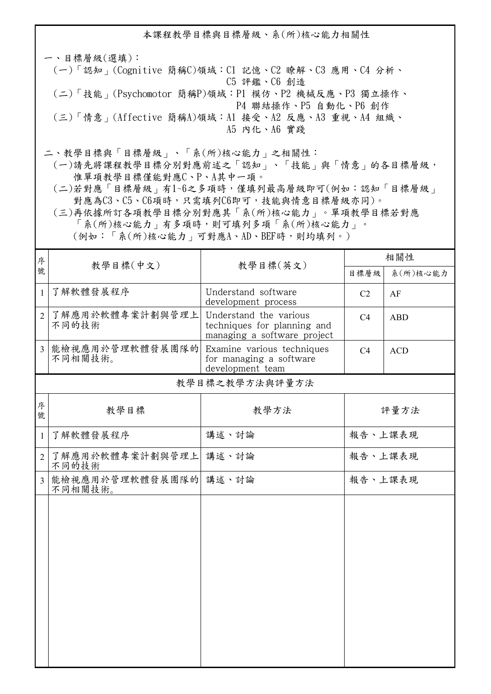本課程教學目標與目標層級、系(所)核心能力相關性

一、目標層級(選填): (一)「認知」(Cognitive 簡稱C)領域:C1 記憶、C2 瞭解、C3 應用、C4 分析、 C5 評鑑、C6 創造 (二)「技能」(Psychomotor 簡稱P)領域:P1 模仿、P2 機械反應、P3 獨立操作、 P4 聯結操作、P5 自動化、P6 創作 (三)「情意」(Affective 簡稱A)領域:A1 接受、A2 反應、A3 重視、A4 組織、 A5 內化、A6 實踐

二、教學目標與「目標層級」、「系(所)核心能力」之相關性:

 (一)請先將課程教學目標分別對應前述之「認知」、「技能」與「情意」的各目標層級, 惟單項教學目標僅能對應C、P、A其中一項。

 (二)若對應「目標層級」有1~6之多項時,僅填列最高層級即可(例如:認知「目標層級」 對應為C3、C5、C6項時,只需填列C6即可,技能與情意目標層級亦同)。

 (三)再依據所訂各項教學目標分別對應其「系(所)核心能力」。單項教學目標若對應 「系(所)核心能力」有多項時,則可填列多項「系(所)核心能力」。

(例如:「系(所)核心能力」可對應A、AD、BEF時,則均填列。)

| 序              | 教學目標(中文)<br>教學目標(英文)             |                                                                                      | 相關性            |            |
|----------------|----------------------------------|--------------------------------------------------------------------------------------|----------------|------------|
| 號              |                                  |                                                                                      | 目標層級           | 系(所)核心能力   |
| $\mathbf{1}$   | 了解軟體發展程序                         | Understand software<br>development process                                           | C <sub>2</sub> | AF         |
| $\overline{2}$ | 了解應用於軟體專案計劃與管理上<br>不同的技術         | Understand the various<br>techniques for planning and<br>managing a software project | C4             | <b>ABD</b> |
| $\overline{3}$ | 能檢視應用於管理軟體發展團隊的<br>不同相關技術。       | Examine various techniques<br>for managing a software<br>development team            | C <sub>4</sub> | <b>ACD</b> |
|                |                                  | 教學目標之教學方法與評量方法                                                                       |                |            |
| 序<br>號         | 教學目標                             | 教學方法                                                                                 |                | 評量方法       |
| $\mathbf{1}$   | 了解軟體發展程序                         | 講述、討論                                                                                | 報告、上課表現        |            |
| $\overline{2}$ | 了解應用於軟體專案計劃與管理上<br>不同的技術         | 講述、討論                                                                                | 報告、上課表現        |            |
| $\overline{3}$ | 能檢視應用於管理軟體發展團隊的 講述、討論<br>不同相關技術。 |                                                                                      | 報告、上課表現        |            |
|                |                                  |                                                                                      |                |            |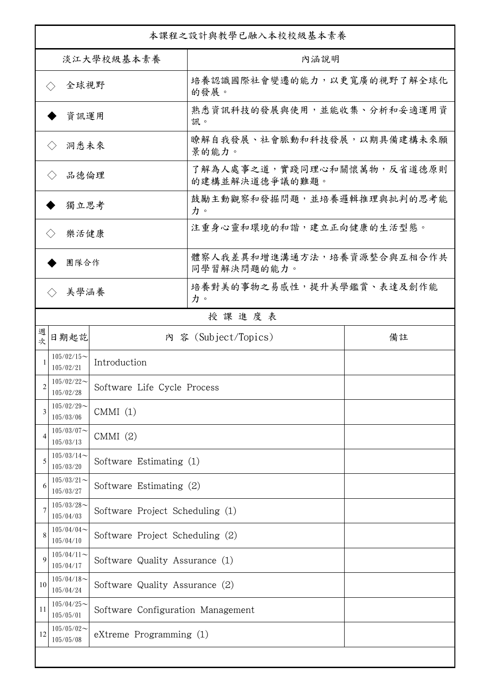| 本課程之設計與教學已融入本校校級基本素養                   |                                                           |                                   |                                              |    |  |
|----------------------------------------|-----------------------------------------------------------|-----------------------------------|----------------------------------------------|----|--|
| 淡江大學校級基本素養                             |                                                           |                                   | 內涵說明                                         |    |  |
| 全球視野<br>$\left\langle \ \right\rangle$ |                                                           |                                   | 培養認識國際社會變遷的能力,以更寬廣的視野了解全球化<br>的發展。           |    |  |
| 資訊運用                                   |                                                           |                                   | 熟悉資訊科技的發展與使用,並能收集、分析和妥適運用資<br>訊。             |    |  |
| 洞悉未來                                   |                                                           |                                   | 瞭解自我發展、社會脈動和科技發展,以期具備建構未來願<br>景的能力。          |    |  |
| 品德倫理                                   |                                                           |                                   | 了解為人處事之道,實踐同理心和關懷萬物,反省道德原則<br>的建構並解決道德爭議的難題。 |    |  |
| 獨立思考                                   |                                                           |                                   | 鼓勵主動觀察和發掘問題,並培養邏輯推理與批判的思考能<br>力。             |    |  |
| 樂活健康<br>$\langle \ \rangle$            |                                                           |                                   | 注重身心靈和環境的和諧,建立正向健康的生活型態。                     |    |  |
| 團隊合作                                   |                                                           |                                   | 體察人我差異和增進溝通方法,培養資源整合與互相合作共<br>同學習解決問題的能力。    |    |  |
| 美學涵養                                   |                                                           |                                   | 培養對美的事物之易感性,提升美學鑑賞、表達及創作能<br>力。              |    |  |
|                                        |                                                           |                                   | 授課進度表                                        |    |  |
| 週<br>欤                                 | 日期起訖                                                      |                                   | 內 容 (Subject/Topics)                         | 備註 |  |
|                                        | $105/02/15 \sim$<br>105/02/21                             | Introduction                      |                                              |    |  |
| 2                                      | $105/02/22$ ~<br>Software Life Cycle Process<br>105/02/28 |                                   |                                              |    |  |
| 3                                      | $105/02/29$ ~<br>105/03/06                                | CMMI(1)                           |                                              |    |  |
| 4                                      | $105/03/07$ ~<br>105/03/13                                | CMMI(2)                           |                                              |    |  |
| 5                                      | $105/03/14$ ~<br>105/03/20                                | Software Estimating (1)           |                                              |    |  |
| 6                                      | $105/03/21$ ~<br>105/03/27                                | Software Estimating (2)           |                                              |    |  |
| 7                                      | $105/03/28$ ~<br>105/04/03                                | Software Project Scheduling (1)   |                                              |    |  |
| 8                                      | $105/04/04$ ~<br>105/04/10                                | Software Project Scheduling (2)   |                                              |    |  |
| 9                                      | $105/04/11$ ~<br>105/04/17                                | Software Quality Assurance (1)    |                                              |    |  |
| 10                                     | $105/04/18$ ~<br>105/04/24                                | Software Quality Assurance (2)    |                                              |    |  |
| 11                                     | $105/04/25$ ~<br>105/05/01                                | Software Configuration Management |                                              |    |  |
| 12                                     | $105/05/02$ ~<br>105/05/08                                | eXtreme Programming (1)           |                                              |    |  |
|                                        |                                                           |                                   |                                              |    |  |